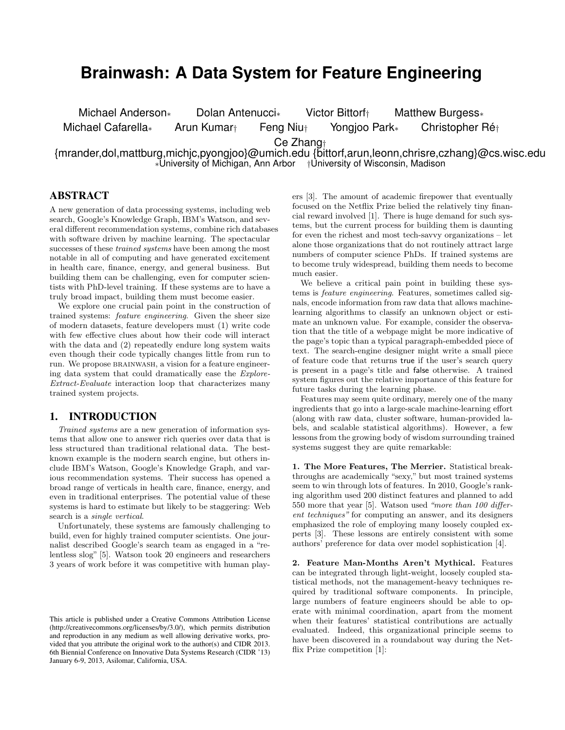# **Brainwash: A Data System for Feature Engineering**

Michael Anderson∗ Dolan Antenucci∗ Victor Bittorf† Matthew Burgess∗

Michael Cafarella∗ Arun Kumar† Feng Niu† Yongjoo Park∗ Christopher Ré†

Ce Zhang†

{mrander,dol,mattburg,michjc,pyongjoo}@umich.edu {bittorf,arun,leonn,chrisre,czhang}@cs.wisc.edu ∗University of Michigan, Ann Arbor †University of Wisconsin, Madison

# ABSTRACT

A new generation of data processing systems, including web search, Google's Knowledge Graph, IBM's Watson, and several different recommendation systems, combine rich databases with software driven by machine learning. The spectacular successes of these trained systems have been among the most notable in all of computing and have generated excitement in health care, finance, energy, and general business. But building them can be challenging, even for computer scientists with PhD-level training. If these systems are to have a truly broad impact, building them must become easier.

We explore one crucial pain point in the construction of trained systems: feature engineering. Given the sheer size of modern datasets, feature developers must (1) write code with few effective clues about how their code will interact with the data and (2) repeatedly endure long system waits even though their code typically changes little from run to run. We propose brainwash, a vision for a feature engineering data system that could dramatically ease the Explore-Extract-Evaluate interaction loop that characterizes many trained system projects.

## 1. INTRODUCTION

Trained systems are a new generation of information systems that allow one to answer rich queries over data that is less structured than traditional relational data. The bestknown example is the modern search engine, but others include IBM's Watson, Google's Knowledge Graph, and various recommendation systems. Their success has opened a broad range of verticals in health care, finance, energy, and even in traditional enterprises. The potential value of these systems is hard to estimate but likely to be staggering: Web search is a single vertical.

Unfortunately, these systems are famously challenging to build, even for highly trained computer scientists. One journalist described Google's search team as engaged in a "relentless slog" [5]. Watson took 20 engineers and researchers 3 years of work before it was competitive with human players [3]. The amount of academic firepower that eventually focused on the Netflix Prize belied the relatively tiny financial reward involved [1]. There is huge demand for such systems, but the current process for building them is daunting for even the richest and most tech-savvy organizations – let alone those organizations that do not routinely attract large numbers of computer science PhDs. If trained systems are to become truly widespread, building them needs to become much easier.

We believe a critical pain point in building these systems is feature engineering. Features, sometimes called signals, encode information from raw data that allows machinelearning algorithms to classify an unknown object or estimate an unknown value. For example, consider the observation that the title of a webpage might be more indicative of the page's topic than a typical paragraph-embedded piece of text. The search-engine designer might write a small piece of feature code that returns true if the user's search query is present in a page's title and false otherwise. A trained system figures out the relative importance of this feature for future tasks during the learning phase.

Features may seem quite ordinary, merely one of the many ingredients that go into a large-scale machine-learning effort (along with raw data, cluster software, human-provided labels, and scalable statistical algorithms). However, a few lessons from the growing body of wisdom surrounding trained systems suggest they are quite remarkable:

1. The More Features, The Merrier. Statistical breakthroughs are academically "sexy," but most trained systems seem to win through lots of features. In 2010, Google's ranking algorithm used 200 distinct features and planned to add 550 more that year [5]. Watson used "more than 100 different techniques" for computing an answer, and its designers emphasized the role of employing many loosely coupled experts [3]. These lessons are entirely consistent with some authors' preference for data over model sophistication [4].

2. Feature Man-Months Aren't Mythical. Features can be integrated through light-weight, loosely coupled statistical methods, not the management-heavy techniques required by traditional software components. In principle, large numbers of feature engineers should be able to operate with minimal coordination, apart from the moment when their features' statistical contributions are actually evaluated. Indeed, this organizational principle seems to have been discovered in a roundabout way during the Netflix Prize competition [1]:

This article is published under a Creative Commons Attribution License (http://creativecommons.org/licenses/by/3.0/), which permits distribution and reproduction in any medium as well allowing derivative works, provided that you attribute the original work to the author(s) and CIDR 2013. 6th Biennial Conference on Innovative Data Systems Research (CIDR '13) January 6-9, 2013, Asilomar, California, USA.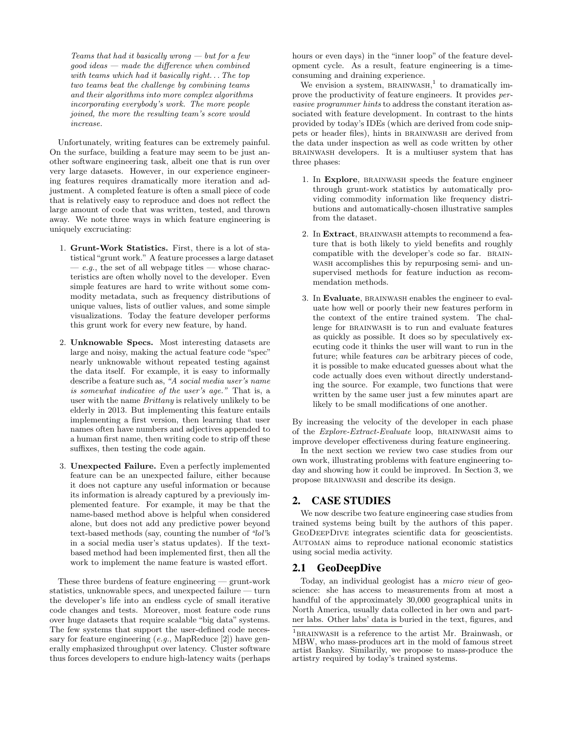Teams that had it basically wrong  $-$  but for a few  $qood\ ideas - made\ the\ difference\ when\ combined$ with teams which had it basically right. . . The top two teams beat the challenge by combining teams and their algorithms into more complex algorithms incorporating everybody's work. The more people joined, the more the resulting team's score would increase.

Unfortunately, writing features can be extremely painful. On the surface, building a feature may seem to be just another software engineering task, albeit one that is run over very large datasets. However, in our experience engineering features requires dramatically more iteration and adjustment. A completed feature is often a small piece of code that is relatively easy to reproduce and does not reflect the large amount of code that was written, tested, and thrown away. We note three ways in which feature engineering is uniquely excruciating:

- 1. Grunt-Work Statistics. First, there is a lot of statistical "grunt work." A feature processes a large dataset  $-e.g.,$  the set of all webpage titles — whose characteristics are often wholly novel to the developer. Even simple features are hard to write without some commodity metadata, such as frequency distributions of unique values, lists of outlier values, and some simple visualizations. Today the feature developer performs this grunt work for every new feature, by hand.
- 2. Unknowable Specs. Most interesting datasets are large and noisy, making the actual feature code "spec" nearly unknowable without repeated testing against the data itself. For example, it is easy to informally describe a feature such as, "A social media user's name is somewhat indicative of the user's age." That is, a user with the name Brittany is relatively unlikely to be elderly in 2013. But implementing this feature entails implementing a first version, then learning that user names often have numbers and adjectives appended to a human first name, then writing code to strip off these suffixes, then testing the code again.
- 3. Unexpected Failure. Even a perfectly implemented feature can be an unexpected failure, either because it does not capture any useful information or because its information is already captured by a previously implemented feature. For example, it may be that the name-based method above is helpful when considered alone, but does not add any predictive power beyond text-based methods (say, counting the number of "lol"s in a social media user's status updates). If the textbased method had been implemented first, then all the work to implement the name feature is wasted effort.

These three burdens of feature engineering — grunt-work statistics, unknowable specs, and unexpected failure — turn the developer's life into an endless cycle of small iterative code changes and tests. Moreover, most feature code runs over huge datasets that require scalable "big data" systems. The few systems that support the user-defined code necessary for feature engineering  $(e.g., \text{MapReduce} [2])$  have generally emphasized throughput over latency. Cluster software thus forces developers to endure high-latency waits (perhaps

hours or even days) in the "inner loop" of the feature development cycle. As a result, feature engineering is a timeconsuming and draining experience.

We envision a system,  $BRAINWASH$ ,<sup>1</sup> to dramatically improve the productivity of feature engineers. It provides pervasive programmer hints to address the constant iteration associated with feature development. In contrast to the hints provided by today's IDEs (which are derived from code snippets or header files), hints in brainwash are derived from the data under inspection as well as code written by other brainwash developers. It is a multiuser system that has three phases:

- 1. In Explore, BRAINWASH speeds the feature engineer through grunt-work statistics by automatically providing commodity information like frequency distributions and automatically-chosen illustrative samples from the dataset.
- 2. In Extract, BRAINWASH attempts to recommend a feature that is both likely to yield benefits and roughly compatible with the developer's code so far. BRAINwash accomplishes this by repurposing semi- and unsupervised methods for feature induction as recommendation methods.
- 3. In Evaluate, BRAINWASH enables the engineer to evaluate how well or poorly their new features perform in the context of the entire trained system. The challenge for BRAINWASH is to run and evaluate features as quickly as possible. It does so by speculatively executing code it thinks the user will want to run in the future; while features can be arbitrary pieces of code, it is possible to make educated guesses about what the code actually does even without directly understanding the source. For example, two functions that were written by the same user just a few minutes apart are likely to be small modifications of one another.

By increasing the velocity of the developer in each phase of the Explore-Extract-Evaluate loop, brainwash aims to improve developer effectiveness during feature engineering.

In the next section we review two case studies from our own work, illustrating problems with feature engineering today and showing how it could be improved. In Section 3, we propose brainwash and describe its design.

## 2. CASE STUDIES

We now describe two feature engineering case studies from trained systems being built by the authors of this paper. GeoDeepDive integrates scientific data for geoscientists. Automan aims to reproduce national economic statistics using social media activity.

## 2.1 GeoDeepDive

Today, an individual geologist has a micro view of geoscience: she has access to measurements from at most a handful of the approximately 30,000 geographical units in North America, usually data collected in her own and partner labs. Other labs' data is buried in the text, figures, and

 $1_{\rm BRAINWASH}$  is a reference to the artist Mr. Brainwash, or MBW, who mass-produces art in the mold of famous street artist Banksy. Similarily, we propose to mass-produce the artistry required by today's trained systems.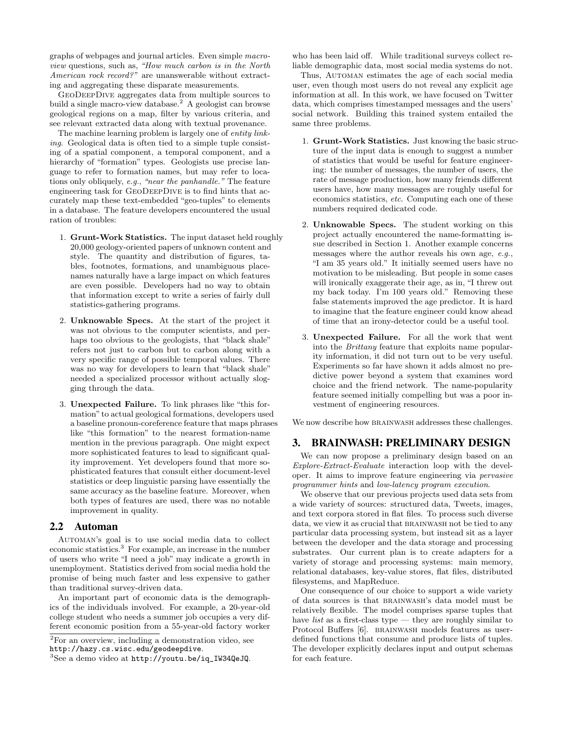graphs of webpages and journal articles. Even simple macroview questions, such as, "How much carbon is in the North American rock record?" are unanswerable without extracting and aggregating these disparate measurements.

GeoDeepDive aggregates data from multiple sources to build a single macro-view database.<sup>2</sup> A geologist can browse geological regions on a map, filter by various criteria, and see relevant extracted data along with textual provenance.

The machine learning problem is largely one of *entity link*ing. Geological data is often tied to a simple tuple consisting of a spatial component, a temporal component, and a hierarchy of "formation" types. Geologists use precise language to refer to formation names, but may refer to locations only obliquely, e.g., "near the panhandle." The feature engineering task for GeoDeepDive is to find hints that accurately map these text-embedded "geo-tuples" to elements in a database. The feature developers encountered the usual ration of troubles:

- 1. Grunt-Work Statistics. The input dataset held roughly 20,000 geology-oriented papers of unknown content and style. The quantity and distribution of figures, tables, footnotes, formations, and unambiguous placenames naturally have a large impact on which features are even possible. Developers had no way to obtain that information except to write a series of fairly dull statistics-gathering programs.
- 2. Unknowable Specs. At the start of the project it was not obvious to the computer scientists, and perhaps too obvious to the geologists, that "black shale" refers not just to carbon but to carbon along with a very specific range of possible temporal values. There was no way for developers to learn that "black shale" needed a specialized processor without actually slogging through the data.
- 3. Unexpected Failure. To link phrases like "this formation" to actual geological formations, developers used a baseline pronoun-coreference feature that maps phrases like "this formation" to the nearest formation-name mention in the previous paragraph. One might expect more sophisticated features to lead to significant quality improvement. Yet developers found that more sophisticated features that consult either document-level statistics or deep linguistic parsing have essentially the same accuracy as the baseline feature. Moreover, when both types of features are used, there was no notable improvement in quality.

#### 2.2 Automan

Automan's goal is to use social media data to collect economic statistics.<sup>3</sup> For example, an increase in the number of users who write "I need a job" may indicate a growth in unemployment. Statistics derived from social media hold the promise of being much faster and less expensive to gather than traditional survey-driven data.

An important part of economic data is the demographics of the individuals involved. For example, a 20-year-old college student who needs a summer job occupies a very different economic position from a 55-year-old factory worker

who has been laid off. While traditional surveys collect reliable demographic data, most social media systems do not.

Thus, AUTOMAN estimates the age of each social media user, even though most users do not reveal any explicit age information at all. In this work, we have focused on Twitter data, which comprises timestamped messages and the users' social network. Building this trained system entailed the same three problems.

- 1. Grunt-Work Statistics. Just knowing the basic structure of the input data is enough to suggest a number of statistics that would be useful for feature engineering: the number of messages, the number of users, the rate of message production, how many friends different users have, how many messages are roughly useful for economics statistics, etc. Computing each one of these numbers required dedicated code.
- 2. Unknowable Specs. The student working on this project actually encountered the name-formatting issue described in Section 1. Another example concerns messages where the author reveals his own age, e.g., "I am 35 years old." It initially seemed users have no motivation to be misleading. But people in some cases will ironically exaggerate their age, as in, "I threw out my back today. I'm 100 years old." Removing these false statements improved the age predictor. It is hard to imagine that the feature engineer could know ahead of time that an irony-detector could be a useful tool.
- 3. Unexpected Failure. For all the work that went into the Brittany feature that exploits name popularity information, it did not turn out to be very useful. Experiments so far have shown it adds almost no predictive power beyond a system that examines word choice and the friend network. The name-popularity feature seemed initially compelling but was a poor investment of engineering resources.

We now describe how BRAINWASH addresses these challenges.

## 3. BRAINWASH: PRELIMINARY DESIGN

We can now propose a preliminary design based on an Explore-Extract-Evaluate interaction loop with the developer. It aims to improve feature engineering via pervasive programmer hints and low-latency program execution.

We observe that our previous projects used data sets from a wide variety of sources: structured data, Tweets, images, and text corpora stored in flat files. To process such diverse data, we view it as crucial that BRAINWASH not be tied to any particular data processing system, but instead sit as a layer between the developer and the data storage and processing substrates. Our current plan is to create adapters for a variety of storage and processing systems: main memory, relational databases, key-value stores, flat files, distributed filesystems, and MapReduce.

One consequence of our choice to support a wide variety of data sources is that brainwash's data model must be relatively flexible. The model comprises sparse tuples that have *list* as a first-class type — they are roughly similar to Protocol Buffers [6]. BRAINWASH models features as userdefined functions that consume and produce lists of tuples. The developer explicitly declares input and output schemas for each feature.

<sup>2</sup>For an overview, including a demonstration video, see http://hazy.cs.wisc.edu/geodeepdive.

 ${}^{3}$ See a demo video at http://youtu.be/iq\_IW34QeJQ.